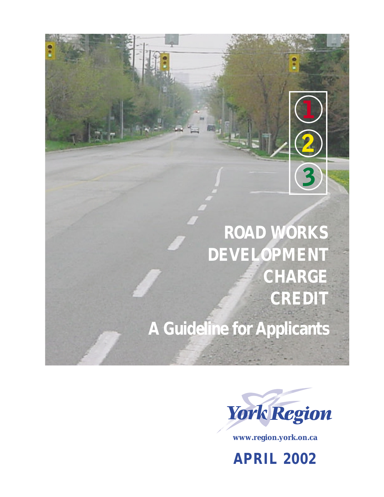

**A Guideline for Applicants** 



**www.region.york.on.ca**

**APRIL 2002**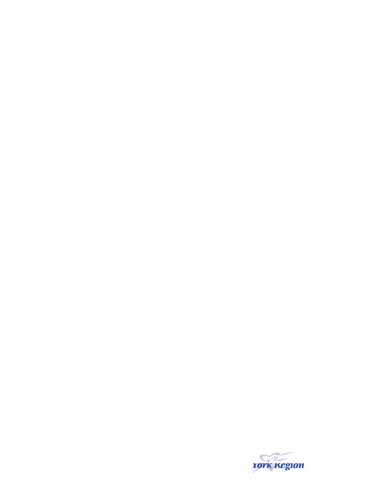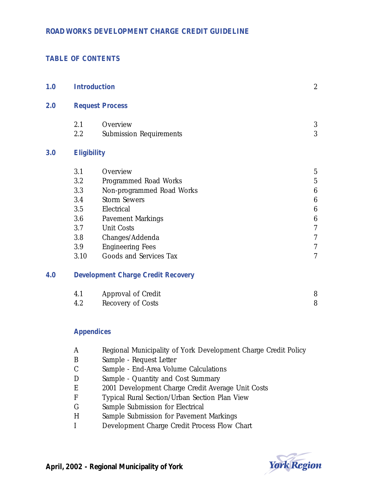## **TABLE OF CONTENTS**

| 1.0 |                                           | <b>Introduction</b>            |                          |  |
|-----|-------------------------------------------|--------------------------------|--------------------------|--|
| 2.0 | <b>Request Process</b>                    |                                |                          |  |
|     | 2.1                                       | Overview                       | 3                        |  |
|     | 2.2                                       | <b>Submission Requirements</b> | 3                        |  |
| 3.0 | <b>Eligibility</b>                        |                                |                          |  |
|     | 3.1                                       | Overview                       | $\overline{5}$           |  |
|     | 3.2                                       | Programmed Road Works          | $\overline{5}$           |  |
|     | 3.3                                       | Non-programmed Road Works      | $\boldsymbol{6}$         |  |
|     | 3.4                                       | <b>Storm Sewers</b>            | $\boldsymbol{6}$         |  |
|     | 3.5                                       | Electrical                     | $\boldsymbol{6}$         |  |
|     | 3.6                                       | <b>Pavement Markings</b>       | $\boldsymbol{6}$         |  |
|     | 3.7                                       | <b>Unit Costs</b>              | $\overline{7}$           |  |
|     | 3.8                                       | Changes/Addenda                | $\overline{\mathcal{U}}$ |  |
|     | 3.9                                       | <b>Engineering Fees</b>        | $\overline{7}$           |  |
|     | 3.10                                      | Goods and Services Tax         | $\overline{7}$           |  |
| 4.0 | <b>Development Charge Credit Recovery</b> |                                |                          |  |
|     | 4.1                                       | Approval of Credit             | 8                        |  |
|     | 4.2                                       | Recovery of Costs              | 8                        |  |

## **Appendices**

- A Regional Municipality of York Development Charge Credit Policy
- B Sample Request Letter
- C Sample End-Area Volume Calculations
- D Sample Quantity and Cost Summary
- E 2001 Development Charge Credit Average Unit Costs
- F Typical Rural Section/Urban Section Plan View
- G Sample Submission for Electrical
- H Sample Submission for Pavement Markings
- I Development Charge Credit Process Flow Chart

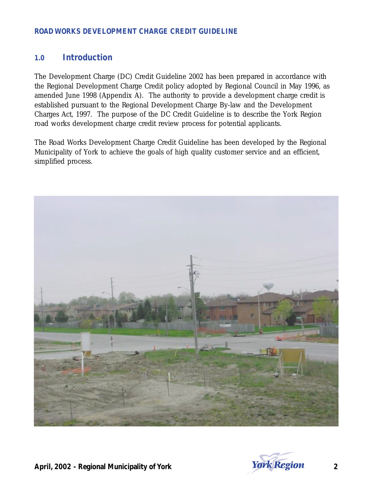## **1.0 Introduction**

The Development Charge (DC) Credit Guideline 2002 has been prepared in accordance with the Regional Development Charge Credit policy adopted by Regional Council in May 1996, as amended June 1998 (Appendix A). The authority to provide a development charge credit is established pursuant to the Regional Development Charge By-law and the Development Charges Act, 1997. The purpose of the DC Credit Guideline is to describe the York Region road works development charge credit review process for potential applicants.

The Road Works Development Charge Credit Guideline has been developed by the Regional Municipality of York to achieve the goals of high quality customer service and an efficient, simplified process.



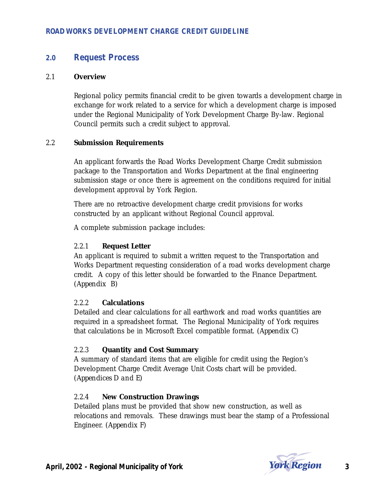## **2.0 Request Process**

#### 2.1 **Overview**

Regional policy permits financial credit to be given towards a development charge in exchange for work related to a service for which a development charge is imposed under the Regional Municipality of York Development Charge By-law. Regional Council permits such a credit subject to approval.

## 2.2 **Submission Requirements**

An applicant forwards the Road Works Development Charge Credit submission package to the Transportation and Works Department at the final engineering submission stage or once there is agreement on the conditions required for initial development approval by York Region.

There are no retroactive development charge credit provisions for works constructed by an applicant without Regional Council approval.

A complete submission package includes:

### 2.2.1 **Request Letter**

An applicant is required to submit a written request to the Transportation and Works Department requesting consideration of a road works development charge credit. A copy of this letter should be forwarded to the Finance Department. *(Appendix B)*

#### 2.2.2 **Calculations**

Detailed and clear calculations for all earthwork and road works quantities are required in a spreadsheet format. The Regional Municipality of York requires that calculations be in Microsoft Excel compatible format. *(Appendix C)*

## 2.2.3 **Quantity and Cost Summary**

A summary of standard items that are eligible for credit using the Region's Development Charge Credit Average Unit Costs chart will be provided. *(Appendices D and E)*

## 2.2.4 **New Construction Drawings**

Detailed plans must be provided that show new construction, as well as relocations and removals. These drawings must bear the stamp of a Professional Engineer. *(Appendix F)* 

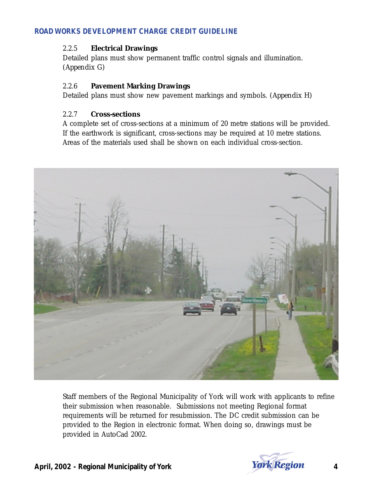## 2.2.5 **Electrical Drawings**

Detailed plans must show permanent traffic control signals and illumination. *(Appendix G)*

## 2.2.6 **Pavement Marking Drawings**

Detailed plans must show new pavement markings and symbols. *(Appendix H)*

## 2.2.7 **Cross-sections**

A complete set of cross-sections at a minimum of 20 metre stations will be provided. If the earthwork is significant, cross-sections may be required at 10 metre stations. Areas of the materials used shall be shown on each individual cross-section.



Staff members of the Regional Municipality of York will work with applicants to refine their submission when reasonable. Submissions not meeting Regional format requirements will be returned for resubmission. The DC credit submission can be provided to the Region in electronic format. When doing so, drawings must be provided in AutoCad 2002.

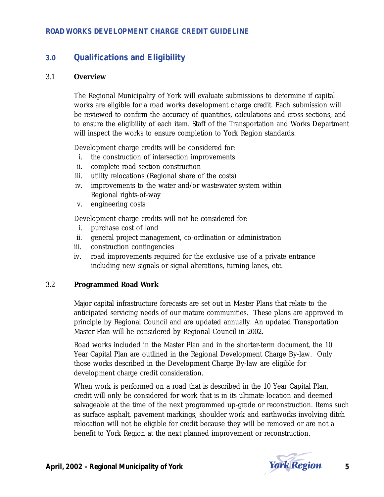# **3.0 Qualifications and Eligibility**

#### 3.1 **Overview**

The Regional Municipality of York will evaluate submissions to determine if capital works are eligible for a road works development charge credit. Each submission will be reviewed to confirm the accuracy of quantities, calculations and cross-sections, and to ensure the eligibility of each item. Staff of the Transportation and Works Department will inspect the works to ensure completion to York Region standards.

Development charge credits will be considered for:

- i. the construction of intersection improvements
- ii. complete road section construction
- iii. utility relocations (Regional share of the costs)
- iv. improvements to the water and/or wastewater system within Regional rights-of-way
- v. engineering costs

Development charge credits will not be considered for:

- i. purchase cost of land
- ii. general project management, co-ordination or administration
- iii. construction contingencies
- iv. road improvements required for the exclusive use of a private entrance including new signals or signal alterations, turning lanes, etc.

#### 3.2 **Programmed Road Work**

Major capital infrastructure forecasts are set out in Master Plans that relate to the anticipated servicing needs of our mature communities. These plans are approved in principle by Regional Council and are updated annually. An updated Transportation Master Plan will be considered by Regional Council in 2002.

Road works included in the Master Plan and in the shorter-term document, the 10 Year Capital Plan are outlined in the Regional Development Charge By-law. Only those works described in the Development Charge By-law are eligible for development charge credit consideration.

When work is performed on a road that is described in the 10 Year Capital Plan, credit will only be considered for work that is in its ultimate location and deemed salvageable at the time of the next programmed up-grade or reconstruction. Items such as surface asphalt, pavement markings, shoulder work and earthworks involving ditch relocation will not be eligible for credit because they will be removed or are not a benefit to York Region at the next planned improvement or reconstruction.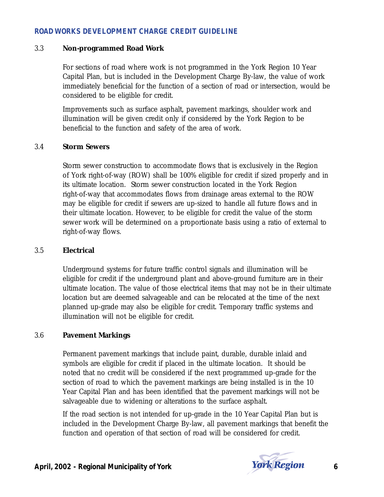#### 3.3 **Non-programmed Road Work**

For sections of road where work is not programmed in the York Region 10 Year Capital Plan, but is included in the Development Charge By-law, the value of work immediately beneficial for the function of a section of road or intersection, would be considered to be eligible for credit.

Improvements such as surface asphalt, pavement markings, shoulder work and illumination will be given credit only if considered by the York Region to be beneficial to the function and safety of the area of work.

#### 3.4 **Storm Sewers**

Storm sewer construction to accommodate flows that is exclusively in the Region of York right-of-way (ROW) shall be 100% eligible for credit if sized properly and in its ultimate location. Storm sewer construction located in the York Region right-of-way that accommodates flows from drainage areas external to the ROW may be eligible for credit if sewers are up-sized to handle all future flows and in their ultimate location. However, to be eligible for credit the value of the storm sewer work will be determined on a proportionate basis using a ratio of external to right-of-way flows.

#### 3.5 **Electrical**

Underground systems for future traffic control signals and illumination will be eligible for credit if the underground plant and above-ground furniture are in their ultimate location. The value of those electrical items that may not be in their ultimate location but are deemed salvageable and can be relocated at the time of the next planned up-grade may also be eligible for credit. Temporary traffic systems and illumination will not be eligible for credit.

## 3.6 **Pavement Markings**

Permanent pavement markings that include paint, durable, durable inlaid and symbols are eligible for credit if placed in the ultimate location. It should be noted that no credit will be considered if the next programmed up-grade for the section of road to which the pavement markings are being installed is in the 10 Year Capital Plan and has been identified that the pavement markings will not be salvageable due to widening or alterations to the surface asphalt.

If the road section is not intended for up-grade in the 10 Year Capital Plan but is included in the Development Charge By-law, all pavement markings that benefit the function and operation of that section of road will be considered for credit.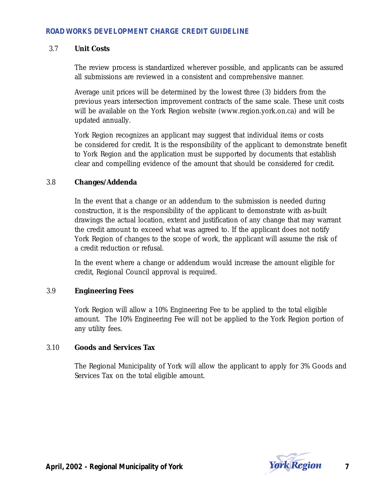#### 3.7 **Unit Costs**

The review process is standardized wherever possible, and applicants can be assured all submissions are reviewed in a consistent and comprehensive manner.

Average unit prices will be determined by the lowest three (3) bidders from the previous years intersection improvement contracts of the same scale. These unit costs will be available on the York Region website (www.region.york.on.ca) and will be updated annually.

York Region recognizes an applicant may suggest that individual items or costs be considered for credit. It is the responsibility of the applicant to demonstrate benefit to York Region and the application must be supported by documents that establish clear and compelling evidence of the amount that should be considered for credit.

## 3.8 **Changes/Addenda**

In the event that a change or an addendum to the submission is needed during construction, it is the responsibility of the applicant to demonstrate with as-built drawings the actual location, extent and justification of any change that may warrant the credit amount to exceed what was agreed to. If the applicant does not notify York Region of changes to the scope of work, the applicant will assume the risk of a credit reduction or refusal.

In the event where a change or addendum would increase the amount eligible for credit, Regional Council approval is required.

## 3.9 **Engineering Fees**

York Region will allow a 10% Engineering Fee to be applied to the total eligible amount. The 10% Engineering Fee will not be applied to the York Region portion of any utility fees.

#### 3.10 **Goods and Services Tax**

The Regional Municipality of York will allow the applicant to apply for 3% Goods and Services Tax on the total eligible amount.



**April, 2002 - Regional Municipality of York**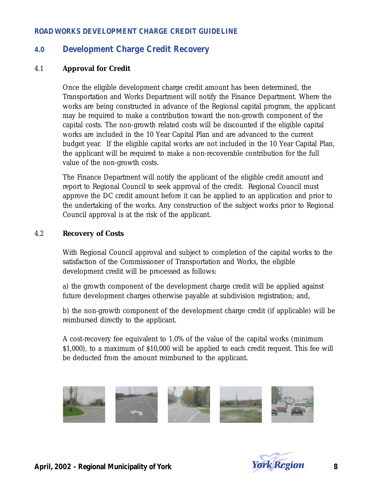## **4.0 Development Charge Credit Recovery**

#### 4.1 **Approval for Credit**

Once the eligible development charge credit amount has been determined, the Transportation and Works Department will notify the Finance Department. Where the works are being constructed in advance of the Regional capital program, the applicant may be required to make a contribution toward the non-growth component of the capital costs. The non-growth related costs will be discounted if the eligible capital works are included in the 10 Year Capital Plan and are advanced to the current budget year. If the eligible capital works are not included in the 10 Year Capital Plan, the applicant will be required to make a non-recoverable contribution for the full value of the non-growth costs.

The Finance Department will notify the applicant of the eligible credit amount and report to Regional Council to seek approval of the credit. Regional Council must approve the DC credit amount before it can be applied to an application and prior to the undertaking of the works. Any construction of the subject works prior to Regional Council approval is at the risk of the applicant.

#### 4.2 **Recovery of Costs**

With Regional Council approval and subject to completion of the capital works to the satisfaction of the Commissioner of Transportation and Works, the eligible development credit will be processed as follows:

a) the growth component of the development charge credit will be applied against future development charges otherwise payable at subdivision registration; and,

b) the non-growth component of the development charge credit (if applicable) will be reimbursed directly to the applicant.

A cost-recovery fee equivalent to 1.0% of the value of the capital works (minimum \$1,000), to a maximum of \$10,000 will be applied to each credit request. This fee will be deducted from the amount reimbursed to the applicant.